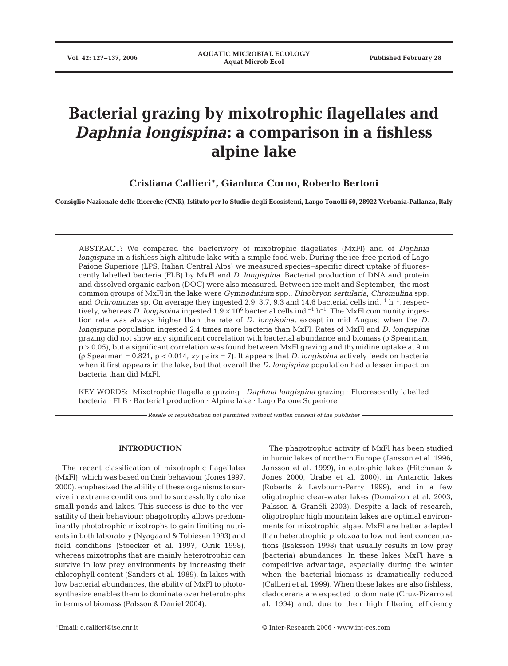# **Bacterial grazing by mixotrophic flagellates and** *Daphnia longispina***: a comparison in a fishless alpine lake**

## **Cristiana Callieri\*, Gianluca Corno, Roberto Bertoni**

**Consiglio Nazionale delle Ricerche (CNR), Istituto per lo Studio degli Ecosistemi, Largo Tonolli 50, 28922 Verbania-Pallanza, Italy**

ABSTRACT: We compared the bacterivory of mixotrophic flagellates (MxFl) and of *Daphnia longispina* in a fishless high altitude lake with a simple food web. During the ice-free period of Lago Paione Superiore (LPS, Italian Central Alps) we measured species–specific direct uptake of fluorescently labelled bacteria (FLB) by MxFl and *D. longispina.* Bacterial production of DNA and protein and dissolved organic carbon (DOC) were also measured. Between ice melt and September, the most common groups of MxFl in the lake were *Gymnodinium* spp., *Dinobryon sertularia, Chromulina* spp. and *Ochromonas* sp. On average they ingested 2.9, 3.7, 9.3 and 14.6 bacterial cells ind.<sup>-1</sup> h<sup>-1</sup>, respectively, whereas *D. longispina* ingested  $1.9 \times 10^6$  bacterial cells ind.<sup>-1</sup> h<sup>-1</sup>. The MxFl community ingestion rate was always higher than the rate of *D. longispina*, except in mid August when the *D. longispina* population ingested 2.4 times more bacteria than MxFl. Rates of MxFl and *D. longispina* grazing did not show any significant correlation with bacterial abundance and biomass (ρ Spearman, p > 0.05), but a significant correlation was found between MxFl grazing and thymidine uptake at 9 m (ρ Spearman = 0.821, p < 0.014, *xy* pairs = 7). It appears that *D. longispina* actively feeds on bacteria when it first appears in the lake, but that overall the *D. longispina* population had a lesser impact on bacteria than did MxFl.

KEY WORDS: Mixotrophic flagellate grazing · *Daphnia longispina* grazing · Fluorescently labelled bacteria · FLB · Bacterial production · Alpine lake · Lago Paione Superiore

*Resale or republication not permitted without written consent of the publisher*

#### **INTRODUCTION**

The recent classification of mixotrophic flagellates (MxFl), which was based on their behaviour (Jones 1997, 2000), emphasized the ability of these organisms to survive in extreme conditions and to successfully colonize small ponds and lakes. This success is due to the versatility of their behaviour: phagotrophy allows predominantly phototrophic mixotrophs to gain limiting nutrients in both laboratory (Nyagaard & Tobiesen 1993) and field conditions (Stoecker et al. 1997, Olrik 1998), whereas mixotrophs that are mainly heterotrophic can survive in low prey environments by increasing their chlorophyll content (Sanders et al. 1989). In lakes with low bacterial abundances, the ability of MxFl to photosynthesize enables them to dominate over heterotrophs in terms of biomass (Palsson & Daniel 2004).

The phagotrophic activity of MxFl has been studied in humic lakes of northern Europe (Jansson et al. 1996, Jansson et al. 1999), in eutrophic lakes (Hitchman & Jones 2000, Urabe et al. 2000), in Antarctic lakes (Roberts & Laybourn-Parry 1999), and in a few oligotrophic clear-water lakes (Domaizon et al. 2003, Palsson & Granéli 2003). Despite a lack of research, oligotrophic high mountain lakes are optimal environments for mixotrophic algae. MxFl are better adapted than heterotrophic protozoa to low nutrient concentrations (Isaksson 1998) that usually results in low prey (bacteria) abundances. In these lakes MxFl have a competitive advantage, especially during the winter when the bacterial biomass is dramatically reduced (Callieri et al. 1999). When these lakes are also fishless, cladocerans are expected to dominate (Cruz-Pizarro et al. 1994) and, due to their high filtering efficiency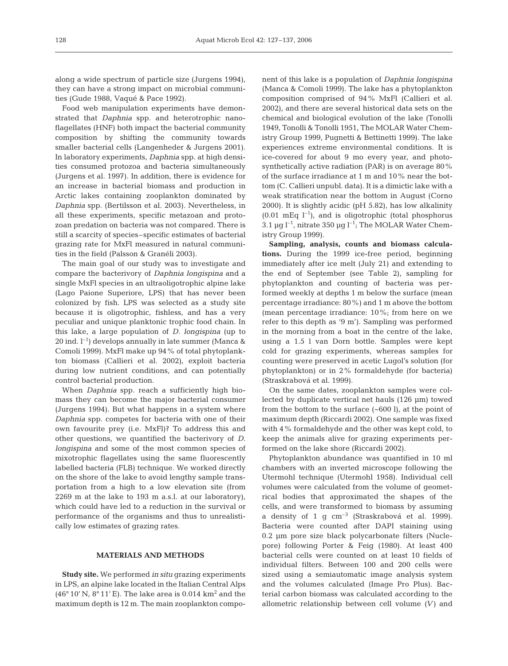along a wide spectrum of particle size (Jurgens 1994), they can have a strong impact on microbial communities (Gude 1988, Vaqué & Pace 1992).

Food web manipulation experiments have demonstrated that *Daphnia* spp. and heterotrophic nanoflagellates (HNF) both impact the bacterial community composition by shifting the community towards smaller bacterial cells (Langenheder & Jurgens 2001). In laboratory experiments, *Daphnia* spp. at high densities consumed protozoa and bacteria simultaneously (Jurgens et al. 1997). In addition, there is evidence for an increase in bacterial biomass and production in Arctic lakes containing zooplankton dominated by *Daphnia* spp. (Bertilsson et al. 2003). Nevertheless, in all these experiments, specific metazoan and protozoan predation on bacteria was not compared. There is still a scarcity of species–specific estimates of bacterial grazing rate for MxFl measured in natural communities in the field (Palsson & Granéli 2003).

The main goal of our study was to investigate and compare the bacterivory of *Daphnia longispina* and a single MxFl species in an ultraoligotrophic alpine lake (Lago Paione Superiore, LPS) that has never been colonized by fish. LPS was selected as a study site because it is oligotrophic, fishless, and has a very peculiar and unique planktonic trophic food chain. In this lake, a large population of *D. longispina* (up to 20 ind.  $l^{-1}$ ) develops annually in late summer (Manca & Comoli 1999). MxFl make up 94% of total phytoplankton biomass (Callieri et al. 2002), exploit bacteria during low nutrient conditions, and can potentially control bacterial production.

When *Daphnia* spp. reach a sufficiently high biomass they can become the major bacterial consumer (Jurgens 1994). But what happens in a system where *Daphnia* spp. competes for bacteria with one of their own favourite prey (i.e. MxFl)? To address this and other questions, we quantified the bacterivory of *D. longispina* and some of the most common species of mixotrophic flagellates using the same fluorescently labelled bacteria (FLB) technique. We worked directly on the shore of the lake to avoid lengthy sample transportation from a high to a low elevation site (from 2269 m at the lake to 193 m a.s.l. at our laboratory), which could have led to a reduction in the survival or performance of the organisms and thus to unrealistically low estimates of grazing rates.

#### **MATERIALS AND METHODS**

**Study site.** We performed *in situ* grazing experiments in LPS, an alpine lake located in the Italian Central Alps (46 $\degree$  10' N, 8 $\degree$  11' E). The lake area is 0.014 km<sup>2</sup> and the maximum depth is 12 m. The main zooplankton component of this lake is a population of *Daphnia longispina* (Manca & Comoli 1999). The lake has a phytoplankton composition comprised of 94% MxFl (Callieri et al. 2002), and there are several historical data sets on the chemical and biological evolution of the lake (Tonolli 1949, Tonolli & Tonolli 1951, The MOLAR Water Chemistry Group 1999, Pugnetti & Bettinetti 1999). The lake experiences extreme environmental conditions. It is ice-covered for about 9 mo every year, and photosynthetically active radiation (PAR) is on average 80% of the surface irradiance at 1 m and 10% near the bottom (C. Callieri unpubl. data). It is a dimictic lake with a weak stratification near the bottom in August (Corno 2000). It is slightly acidic (pH 5.82), has low alkalinity  $(0.01 \text{ mEq } l^{-1})$ , and is oligotrophic (total phosphorus 3.1 µg  $l^{-1}$ , nitrate 350 µg  $l^{-1}$ ; The MOLAR Water Chemistry Group 1999).

**Sampling, analysis, counts and biomass calculations.** During the 1999 ice-free period, beginning immediately after ice melt (July 21) and extending to the end of September (see Table 2), sampling for phytoplankton and counting of bacteria was performed weekly at depths 1 m below the surface (mean percentage irradiance: 80%) and 1 m above the bottom (mean percentage irradiance: 10%; from here on we refer to this depth as '9 m'). Sampling was performed in the morning from a boat in the centre of the lake, using a 1.5 l van Dorn bottle. Samples were kept cold for grazing experiments, whereas samples for counting were preserved in acetic Lugol's solution (for phytoplankton) or in 2% formaldehyde (for bacteria) (Straskrabová et al. 1999).

On the same dates, zooplankton samples were collected by duplicate vertical net hauls (126 µm) towed from the bottom to the surface (~600 l), at the point of maximum depth (Riccardi 2002). One sample was fixed with 4% formaldehyde and the other was kept cold, to keep the animals alive for grazing experiments performed on the lake shore (Riccardi 2002).

Phytoplankton abundance was quantified in 10 ml chambers with an inverted microscope following the Utermohl technique (Utermohl 1958). Individual cell volumes were calculated from the volume of geometrical bodies that approximated the shapes of the cells, and were transformed to biomass by assuming a density of 1 g cm–3 (Straskrabová et al. 1999). Bacteria were counted after DAPI staining using 0.2 µm pore size black polycarbonate filters (Nuclepore) following Porter & Feig (1980). At least 400 bacterial cells were counted on at least 10 fields of individual filters. Between 100 and 200 cells were sized using a semiautomatic image analysis system and the volumes calculated (Image Pro Plus). Bacterial carbon biomass was calculated according to the allometric relationship between cell volume *(V)* and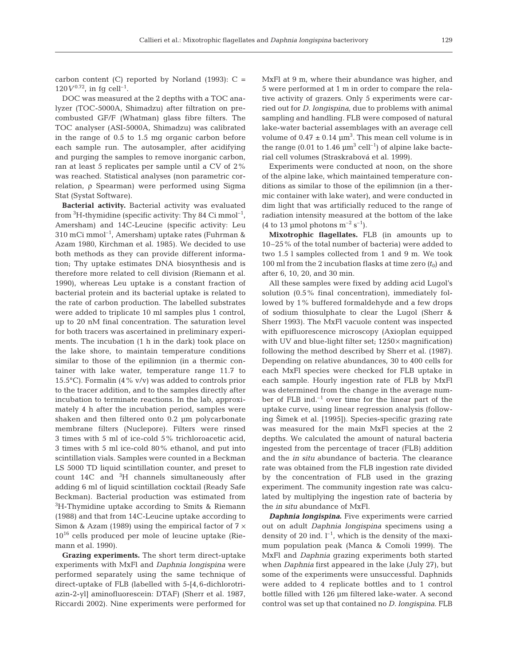carbon content (C) reported by Norland (1993):  $C =$  $120V^{0.72}$ , in fq cell<sup>-1</sup>.

DOC was measured at the 2 depths with a TOC analyzer (TOC-5000A, Shimadzu) after filtration on precombusted GF/F (Whatman) glass fibre filters. The TOC analyser (ASI-5000A, Shimadzu) was calibrated in the range of 0.5 to 1.5 mg organic carbon before each sample run. The autosampler, after acidifying and purging the samples to remove inorganic carbon, ran at least 5 replicates per sample until a CV of 2% was reached. Statistical analyses (non parametric correlation, ρ Spearman) were performed using Sigma Stat (Systat Software).

**Bacterial activity.** Bacterial activity was evaluated from <sup>3</sup>H-thymidine (specific activity: Thy 84 Ci mmol<sup>-1</sup>, Amersham) and 14C-Leucine (specific activity: Leu 310 mCi mmol–1, Amersham) uptake rates (Fuhrman & Azam 1980, Kirchman et al. 1985). We decided to use both methods as they can provide different information; Thy uptake estimates DNA biosynthesis and is therefore more related to cell division (Riemann et al. 1990), whereas Leu uptake is a constant fraction of bacterial protein and its bacterial uptake is related to the rate of carbon production. The labelled substrates were added to triplicate 10 ml samples plus 1 control, up to 20 nM final concentration. The saturation level for both tracers was ascertained in preliminary experiments. The incubation (1 h in the dark) took place on the lake shore, to maintain temperature conditions similar to those of the epilimnion (in a thermic container with lake water, temperature range 11.7 to 15.5°C). Formalin (4% v/v) was added to controls prior to the tracer addition, and to the samples directly after incubation to terminate reactions. In the lab, approximately 4 h after the incubation period, samples were shaken and then filtered onto 0.2 µm polycarbonate membrane filters (Nuclepore). Filters were rinsed 3 times with 5 ml of ice-cold 5% trichloroacetic acid, 3 times with 5 ml ice-cold 80% ethanol, and put into scintillation vials. Samples were counted in a Beckman LS 5000 TD liquid scintillation counter, and preset to count  $14C$  and  ${}^{3}H$  channels simultaneously after adding 6 ml of liquid scintillation cocktail (Ready Safe Beckman). Bacterial production was estimated from <sup>3</sup>H-Thymidine uptake according to Smits & Riemann (1988) and that from 14C-Leucine uptake according to Simon & Azam (1989) using the empirical factor of  $7 \times$ 10<sup>16</sup> cells produced per mole of leucine uptake (Riemann et al. 1990).

**Grazing experiments.** The short term direct-uptake experiments with MxFl and *Daphnia longispina* were performed separately using the same technique of direct-uptake of FLB (labelled with 5-[4,6-dichlorotriazin-2-yl] aminofluorescein: DTAF) (Sherr et al. 1987, Riccardi 2002). Nine experiments were performed for

MxFl at 9 m, where their abundance was higher, and 5 were performed at 1 m in order to compare the relative activity of grazers. Only 5 experiments were carried out for *D. longispina*, due to problems with animal sampling and handling. FLB were composed of natural lake-water bacterial assemblages with an average cell volume of  $0.47 \pm 0.14 \mu m^3$ . This mean cell volume is in the range (0.01 to 1.46  $\mu$ m<sup>3</sup> cell<sup>-1</sup>) of alpine lake bacterial cell volumes (Straskrabová et al. 1999).

Experiments were conducted at noon, on the shore of the alpine lake, which maintained temperature conditions as similar to those of the epilimnion (in a thermic container with lake water), and were conducted in dim light that was artificially reduced to the range of radiation intensity measured at the bottom of the lake (4 to 13 µmol photons  $m^{-2}$  s<sup>-1</sup>).

**Mixotrophic flagellates.** FLB (in amounts up to 10–25% of the total number of bacteria) were added to two 1.5 l samples collected from 1 and 9 m. We took 100 ml from the 2 incubation flasks at time zero  $(t_0)$  and after 6, 10, 20, and 30 min.

All these samples were fixed by adding acid Lugol's solution (0.5% final concentration), immediately followed by 1% buffered formaldehyde and a few drops of sodium thiosulphate to clear the Lugol (Sherr & Sherr 1993). The MxFl vacuole content was inspected with epifluorescence microscopy (Axioplan equipped with UV and blue-light filter set;  $1250 \times$  magnification) following the method described by Sherr et al. (1987). Depending on relative abundances, 30 to 400 cells for each MxFl species were checked for FLB uptake in each sample. Hourly ingestion rate of FLB by MxFl was determined from the change in the average number of FLB ind. $^{-1}$  over time for the linear part of the uptake curve, using linear regression analysis (following 2imek et al. [1995]). Species-specific grazing rate was measured for the main MxFl species at the 2 depths. We calculated the amount of natural bacteria ingested from the percentage of tracer (FLB) addition and the *in situ* abundance of bacteria. The clearance rate was obtained from the FLB ingestion rate divided by the concentration of FLB used in the grazing experiment. The community ingestion rate was calculated by multiplying the ingestion rate of bacteria by the *in situ* abundance of MxFl.

*Daphnia longispina***.** Five experiments were carried out on adult *Daphnia longispina* specimens using a density of 20 ind.  $l^{-1}$ , which is the density of the maximum population peak (Manca & Comoli 1999). The MxFl and *Daphnia* grazing experiments both started when *Daphnia* first appeared in the lake (July 27), but some of the experiments were unsuccessful. Daphnids were added to 4 replicate bottles and to 1 control bottle filled with 126 µm filtered lake-water. A second control was set up that contained no *D. longispina*. FLB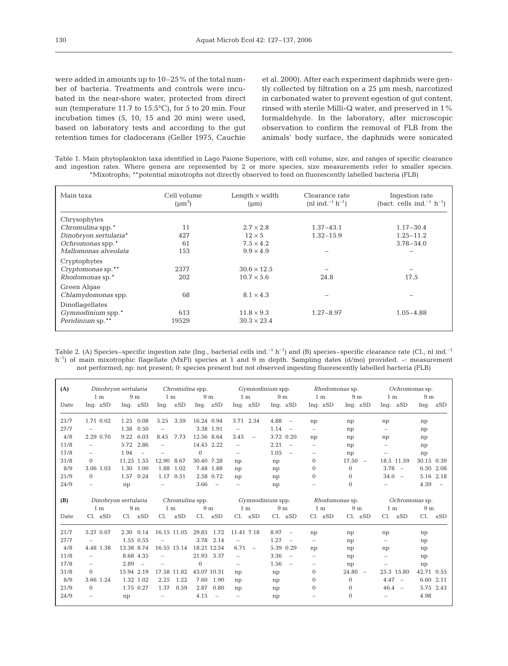were added in amounts up to 10–25% of the total number of bacteria. Treatments and controls were incubated in the near-shore water, protected from direct sun (temperature 11.7 to 15.5°C), for 5 to 20 min. Four incubation times (5, 10, 15 and 20 min) were used, based on laboratory tests and according to the gut retention times for cladocerans (Geller 1975, Cauchie et al. 2000). After each experiment daphnids were gently collected by filtration on a 25 µm mesh, narcotized in carbonated water to prevent egestion of gut content, rinsed with sterile Milli-Q water, and preserved in 1% formaldehyde. In the laboratory, after microscopic observation to confirm the removal of FLB from the animals' body surface, the daphnids were sonicated

Table 1. Main phytoplankton taxa identified in Lago Paione Superiore, with cell volume, size, and ranges of specific clearance and ingestion rates. Where genera are represented by 2 or more species, size measurements refer to smaller species. \*Mixotrophs; \*\*potential mixotrophs not directly observed to feed on fluorescently labelled bacteria (FLB)

| Main taxa             | Cell volume<br>$(\mu m^3)$ | Length $\times$ width<br>$(\mu m)$ | Clearance rate<br>(nl ind. <sup>-1</sup> h <sup>-1</sup> ) | Ingestion rate<br>(bact. cells ind. <sup>-1</sup> h <sup>-1</sup> ) |
|-----------------------|----------------------------|------------------------------------|------------------------------------------------------------|---------------------------------------------------------------------|
| Chrysophytes          |                            |                                    |                                                            |                                                                     |
| Chromulina spp.*      | 11                         | $2.7 \times 2.8$                   | $1.37 - 43.1$                                              | $1.17 - 30.4$                                                       |
| Dinobryon sertularia* | 427                        | $12 \times 5$                      | $1.32 - 15.9$                                              | $1.25 - 11.2$                                                       |
| Ochromonas spp.*      | 61                         | $7.5 \times 4.2$                   |                                                            | $3.78 - 34.0$                                                       |
| Mallomonas alveolata  | 153                        | $9.9 \times 4.9$                   |                                                            |                                                                     |
| Cryptophytes          |                            |                                    |                                                            |                                                                     |
| Cryptomonas sp.**     | 2377                       | $30.6 \times 12.5$                 |                                                            |                                                                     |
| Rhodomonas sp.*       | 202                        | $10.7 \times 5.6$                  | 24.8                                                       | 17.5                                                                |
| Green Algae           |                            |                                    |                                                            |                                                                     |
| Chlamydomonas spp.    | 68                         | $8.1 \times 4.3$                   |                                                            |                                                                     |
| Dinoflagellates       |                            |                                    |                                                            |                                                                     |
| Gymnodinium spp.*     | 613                        | $11.8 \times 9.3$                  | $1.27 - 8.97$                                              | $1.05 - 4.88$                                                       |
| Peridinium sp.**      | 19529                      | $30.3 \times 23.4$                 |                                                            |                                                                     |

Table 2. (A) Species–specific ingestion rate (Ing., bacterial cells ind.<sup>-1</sup> h<sup>-1</sup>) and (B) species–specific clearance rate (Cl., nl ind.<sup>-1</sup> h<sup>-1</sup>) of main mixotrophic flagellate (MxFl) species at 1 and 9 m depth. Sampling dates (d/mo) provided. –: measurement not performed; np: not present; 0: species present but not observed ingesting fluorescently labelled bacteria (FLB)

| (A)  |                          |                                |                                                                   |                                |                                  |                                  |                                |                                | Dinobryon sertularia Chromulina spp. Gymnodinium spp. Rhodomonas sp. Ochromonas sp. |                                |  |
|------|--------------------------|--------------------------------|-------------------------------------------------------------------|--------------------------------|----------------------------------|----------------------------------|--------------------------------|--------------------------------|-------------------------------------------------------------------------------------|--------------------------------|--|
|      | 1 <sub>m</sub>           | 9 <sub>m</sub>                 | 1 m                                                               | 9 m                            | $1 \text{ m}$                    |                                  | $9m$ 1 m                       | 9 <sub>m</sub>                 | 1 <sub>m</sub>                                                                      | 9 <sub>m</sub>                 |  |
| Date | Ing. $\pm SD$            | Ing. $\pm SD$                  | Inq. $\pm SD$                                                     | Ing. $\pm SD$                  | Inq. $\pm SD$                    | Ing. $\pm SD$                    | Ing. $\pm SD$                  | Ing. $\pm SD$                  | Inq. $\pm SD$                                                                       | Inq. $\pm SD$                  |  |
| 21/7 | 1.71 0.02                | 1.25 0.08                      | 3.59<br>5.25                                                      | 16.24 0.94                     | 3.71 2.34                        | $4.88 -$                         | np                             | np                             | np                                                                                  | np                             |  |
| 27/7 | $\overline{\phantom{a}}$ | 1.38 0.50                      | $\overline{\phantom{m}}$                                          | 3.38 1.91                      | $\overline{\phantom{m}}$         | $1.14 -$                         | $\overline{\phantom{m}}$       | np                             | $\overline{\phantom{0}}$                                                            | np                             |  |
| 4/8  | 2.29 0.70                | 9.22 6.03                      | 7.73<br>8.45                                                      | 12.56 8.64                     | 3.43<br>$\overline{\phantom{m}}$ | 3.72 0.20                        | np                             | np                             | np                                                                                  | np                             |  |
| 11/8 | $\equiv$                 | 2.86<br>5.72                   | $\equiv$                                                          | 14.45 2.22                     | $\equiv$                         | $2.21 -$                         | $\overline{\phantom{a}}$       | np                             | $\overline{\phantom{0}}$                                                            | np                             |  |
| 17/8 | $\equiv$                 | 1.94<br>$\sim$                 | $\overline{\phantom{a}}$                                          | $\Omega$                       | $\overline{\phantom{a}}$         | 1.05<br>$\overline{\phantom{a}}$ | $\qquad \qquad -$              | np                             | $\overline{\phantom{0}}$                                                            | np                             |  |
| 31/8 | $\Omega$                 | 11.25 1.55                     | 8.67<br>12.90                                                     | 30.40 7.28                     | np                               | np                               | $\overline{0}$                 | $17.50 -$                      | 18.5 11.59                                                                          | 30.15 0.39                     |  |
| 8/9  | 3.06 1.03                | 1.30 1.00                      | 1.88 1.02                                                         | 7.48 1.88                      | np                               | np                               | $\overline{0}$                 | $\Omega$                       | $3.78 -$                                                                            | 6.50 2.08                      |  |
| 21/9 | $\Omega$                 | 1.57 0.24                      | 1.17 0.51                                                         | 2.58 0.72                      | np                               | np                               | $\Omega$                       | $\Omega$                       | $34.0 -$                                                                            | 5.16 2.18                      |  |
| 24/9 | $\overline{\phantom{a}}$ | np                             | $\overline{\phantom{m}}$                                          | 3.66<br>$\sim$ $-$             | $\overline{\phantom{m}}$         | np                               |                                | $\Omega$                       | $-$                                                                                 | $4.39 -$                       |  |
|      |                          |                                |                                                                   |                                |                                  |                                  |                                |                                |                                                                                     |                                |  |
|      |                          |                                |                                                                   |                                |                                  |                                  |                                |                                |                                                                                     |                                |  |
| (B)  |                          |                                | Dinobryon sertularia Chromulina spp.             Gymnodinium spp. |                                |                                  |                                  |                                |                                | Rhodomonas sp. Ochromonas sp.                                                       |                                |  |
| Date | 1 m<br>$Cl. \pm SD$      | 9 <sub>m</sub><br>$Cl. \pm SD$ | 1 <sub>m</sub><br>$Cl. \pm SD$                                    | 9 <sub>m</sub><br>$Cl. \pm SD$ | 1 <sub>m</sub><br>$Cl. \pm SD$   | 9 <sub>m</sub><br>$Cl. \pm SD$   | 1 <sub>m</sub><br>$Cl. \pm SD$ | 9 <sub>m</sub><br>$Cl. \pm SD$ | 1 <sub>m</sub><br>$Cl. \pm SD$                                                      | 9 <sub>m</sub><br>$Cl. \pm SD$ |  |
| 21/7 | 5.27 0.07                | 2.30 0.14                      | 16.15 11.05                                                       | 29.85 1.72                     | 11.41 7.18                       | 8.97<br>$\sim$ $-$               | np                             | np                             | np                                                                                  | np                             |  |
| 27/7 | $\overline{\phantom{m}}$ | 1.55 0.55                      | $\overline{\phantom{a}}$                                          | 3.78 2.14                      | $\overline{\phantom{m}}$         | $1.27 -$                         | $\overline{\phantom{a}}$       | np                             | $\overline{\phantom{0}}$                                                            | np                             |  |
| 4/8  | 4.48 1.38                | 13.38 8.74                     | 16.55 15.14                                                       | 18.21 12.54                    | 6.71<br>$\overline{\phantom{a}}$ | 5.39 0.29                        | np                             | np                             | np                                                                                  | np                             |  |
| 11/8 | $\overline{\phantom{a}}$ | 8.68 4.35                      | ÷                                                                 | 21.93 3.37                     | $\overline{\phantom{a}}$         | $3.36 -$                         | $\overline{\phantom{0}}$       | np                             | $\overline{\phantom{0}}$                                                            | np                             |  |
| 17/8 | $\overline{\phantom{a}}$ | $2.89 -$                       | $\overline{\phantom{a}}$                                          | $\Omega$                       | $\overline{\phantom{a}}$         | $1.56 -$                         | $-$                            | np                             | $\overline{\phantom{a}}$                                                            | np                             |  |
| 31/8 | $\Omega$                 | 15.94 2.19                     | 17.58 11.82                                                       | 43.07 10.31                    | np                               | np                               | $\overline{0}$                 | $24.80 -$                      | 25.3 15.80                                                                          | 42.71 0.55                     |  |
| 8/9  | 3.66 1.24                | 1.32 1.02                      | 1.22<br>2.25                                                      | 7.60 1.90                      | np                               | np                               | $\overline{0}$                 | $\Omega$                       | $4.47 -$                                                                            | 6.60 2.11                      |  |
| 21/9 | $\Omega$                 | 1.75 0.27                      | 1.37<br>0.59                                                      | 2.87 0.80                      | np                               | np                               | $\Omega$                       | $\Omega$                       | $46.4 -$                                                                            | 5.75 2.43                      |  |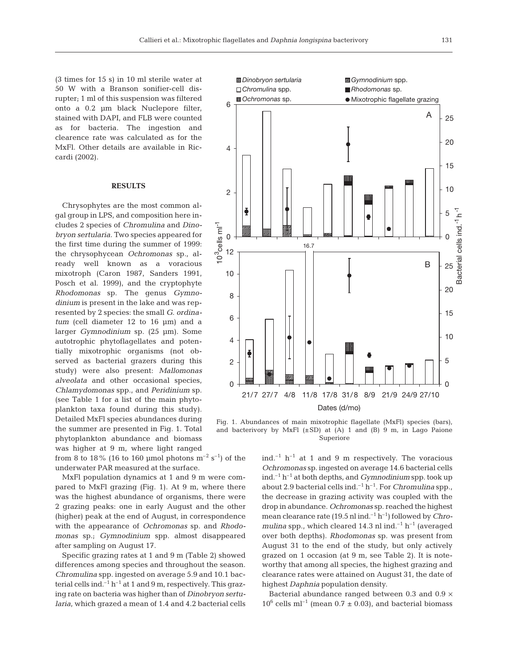(3 times for 15 s) in 10 ml sterile water at 50 W with a Branson sonifier-cell disrupter; 1 ml of this suspension was filtered onto a 0.2 µm black Nuclepore filter, stained with DAPI, and FLB were counted as for bacteria. The ingestion and clearence rate was calculated as for the MxFl. Other details are available in Riccardi (2002).

#### **RESULTS**

Chrysophytes are the most common algal group in LPS, and composition here includes 2 species of *Chromulina* and *Dinobryon sertularia.* Two species appeared for the first time during the summer of 1999: the chrysophycean *Ochromonas* sp., already well known as a voracious mixotroph (Caron 1987, Sanders 1991, Posch et al. 1999), and the cryptophyte *Rhodomonas* sp. The genus *Gymnodinium* is present in the lake and was represented by 2 species: the small *G. ordinatum* (cell diameter 12 to 16 µm) and a larger *Gymnodinium* sp. (25 µm). Some autotrophic phytoflagellates and potentially mixotrophic organisms (not observed as bacterial grazers during this study) were also present: *Mallomonas alveolata* and other occasional species, *Chlamydomonas* spp., and *Peridinium* sp. (see Table 1 for a list of the main phytoplankton taxa found during this study). Detailed MxFl species abundances during the summer are presented in Fig. 1. Total phytoplankton abundance and biomass was higher at 9 m, where light ranged

from 8 to 18% (16 to 160 µmol photons  $m^{-2}$  s<sup>-1</sup>) of the underwater PAR measured at the surface.

MxFl population dynamics at 1 and 9 m were compared to MxFl grazing (Fig. 1). At 9 m, where there was the highest abundance of organisms, there were 2 grazing peaks: one in early August and the other (higher) peak at the end of August, in correspondence with the appearance of *Ochromonas* sp. and *Rhodomonas* sp.; *Gymnodinium* spp. almost disappeared after sampling on August 17.

Specific grazing rates at 1 and 9 m (Table 2) showed differences among species and throughout the season. *Chromulina* spp. ingested on average 5.9 and 10.1 bacterial cells ind.<sup> $-1$ </sup> h<sup> $-1$ </sup> at 1 and 9 m, respectively. This grazing rate on bacteria was higher than of *Dinobryon sertularia*, which grazed a mean of 1.4 and 4.2 bacterial cells



Fig. 1. Abundances of main mixotrophic flagellate (MxFl) species (bars), and bacterivory by MxFl  $(\pm SD)$  at (A) 1 and (B) 9 m, in Lago Paione Superiore

ind.<sup> $-1$ </sup> h<sup> $-1$ </sup> at 1 and 9 m respectively. The voracious *Ochromonas* sp. ingested on average 14.6 bacterial cells ind.–1 h–1 at both depths, and *Gymnodinium* spp. took up about 2.9 bacterial cells ind.<sup>-1</sup>  $h^{-1}$ . For *Chromulina* spp., the decrease in grazing activity was coupled with the drop in abundance. *Ochromonas* sp. reached the highest mean clearance rate (19.5 nl ind.–1 h–1) followed by *Chromulina* spp., which cleared  $14.3$  nl ind.<sup>-1</sup> h<sup>-1</sup> (averaged over both depths). *Rhodomonas* sp. was present from August 31 to the end of the study, but only actively grazed on 1 occasion (at 9 m, see Table 2). It is noteworthy that among all species, the highest grazing and clearance rates were attained on August 31, the date of highest *Daphnia* population density.

Bacterial abundance ranged between 0.3 and 0.9  $\times$  $10^6$  cells ml<sup>-1</sup> (mean 0.7  $\pm$  0.03), and bacterial biomass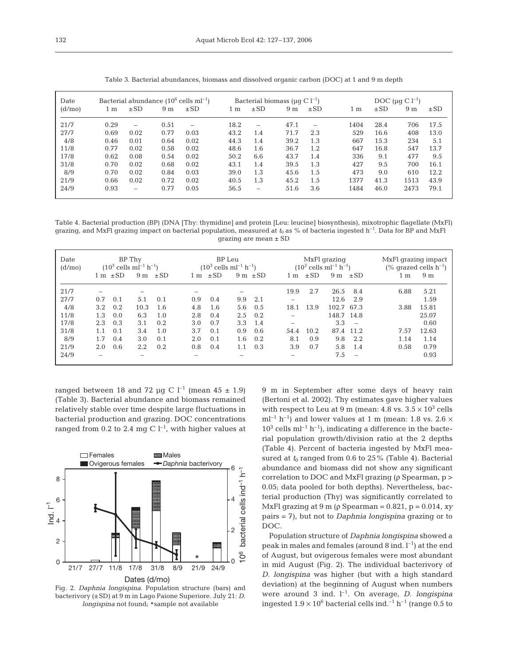| ۰.<br>$\sim$ |  |
|--------------|--|

| Date    |                |                 |                | Bacterial abundance $(10^6 \text{ cells } \text{ml}^{-1})$ |      |                          | Bacterial biomass ( $\mu$ g C l <sup>-1</sup> ) |                          | DOC ( $\mu$ g C l <sup>-1</sup> ) |          |                |          |  |
|---------|----------------|-----------------|----------------|------------------------------------------------------------|------|--------------------------|-------------------------------------------------|--------------------------|-----------------------------------|----------|----------------|----------|--|
| (d/mol) | 1 <sub>m</sub> | $\pm$ SD        | 9 <sub>m</sub> | $\pm$ SD                                                   | 1 m  | $\pm$ SD                 | 9 <sub>m</sub>                                  | $\pm$ SD                 | 1 m                               | $\pm$ SD | 9 <sub>m</sub> | $\pm$ SD |  |
| 21/7    | 0.29           | $\qquad \qquad$ | 0.51           |                                                            | 18.2 | -                        | 47.1                                            | $\overline{\phantom{0}}$ | 1404                              | 28.4     | 706            | 17.5     |  |
| 27/7    | 0.69           | 0.02            | 0.77           | 0.03                                                       | 43.2 | 1.4                      | 71.7                                            | 2.3                      | 529                               | 16.6     | 408            | 13.0     |  |
| 4/8     | 0.46           | 0.01            | 0.64           | 0.02                                                       | 44.3 | 1.4                      | 39.2                                            | 1.3                      | 667                               | 15.3     | 234            | 5.1      |  |
| 11/8    | 0.77           | 0.02            | 0.58           | 0.02                                                       | 48.6 | 1.6                      | 36.7                                            | 1.2                      | 647                               | 16.8     | 547            | 13.7     |  |
| 17/8    | 0.62           | 0.08            | 0.54           | 0.02                                                       | 50.2 | 6.6                      | 43.7                                            | 1.4                      | 336                               | 9.1      | 477            | 9.5      |  |
| 31/8    | 0.70           | 0.02            | 0.68           | 0.02                                                       | 43.1 | 1.4                      | 39.5                                            | 1.3                      | 427                               | 9.5      | 700            | 16.1     |  |
| 8/9     | 0.70           | 0.02            | 0.84           | 0.03                                                       | 39.0 | 1.3                      | 45.6                                            | 1.5                      | 473                               | 9.0      | 610            | 12.2     |  |
| 21/9    | 0.66           | 0.02            | 0.72           | 0.02                                                       | 40.5 | 1.3                      | 45.2                                            | 1.5                      | 1377                              | 41.3     | 1513           | 43.9     |  |
| 24/9    | 0.93           | -               | 0.77           | 0.05                                                       | 56.5 | $\overline{\phantom{0}}$ | 51.6                                            | 3.6                      | 1484                              | 46.0     | 2473           | 79.1     |  |

Table 3. Bacterial abundances, biomass and dissolved organic carbon (DOC) at 1 and 9 m depth

Table 4. Bacterial production (BP) (DNA [Thy: thymidine] and protein [Leu: leucine] biosynthesis), mixotrophic flagellate (MxFl) grazing, and MxFl grazing impact on bacterial population, measured at  $t_0$  as % of bacteria ingested  $h^{-1}$ . Data for BP and MxFl grazing are mean ± SD

| Date<br>(d/mol) | BP Thy<br>$(10^3$ cells ml <sup>-1</sup> h <sup>-1</sup> ) |          |                | BP Leu<br>$(10^3$ cells ml <sup>-1</sup> h <sup>-1</sup> ) |                          |          |                          |          | MxFl grazing<br>$(10^3$ cells ml <sup>-1</sup> h <sup>-1</sup> ) | MxFl grazing impact<br>$(\%$ grazed cells $h^{-1}$ ) |                |                          |      |                |
|-----------------|------------------------------------------------------------|----------|----------------|------------------------------------------------------------|--------------------------|----------|--------------------------|----------|------------------------------------------------------------------|------------------------------------------------------|----------------|--------------------------|------|----------------|
|                 | 1 m                                                        | $\pm$ SD | 9 <sub>m</sub> | $\pm$ SD                                                   | 1 m                      | $\pm$ SD | 9 <sub>m</sub>           | $\pm$ SD | 1 m                                                              | $\pm$ SD                                             | 9 <sub>m</sub> | $\pm$ SD                 | 1 m  | 9 <sub>m</sub> |
| 21/7<br>27/7    | 0.7                                                        | 0.1      | -<br>5.1       | 0.1                                                        | -<br>0.9                 | 0.4      | 9.9                      | 2.1      | 19.9                                                             | 2.7                                                  | 26.5<br>12.6   | 8.4<br>2.9               | 6.88 | 5.21<br>1.59   |
| 4/8             | 3.2                                                        | 0.2      | 10.3           | 1.6                                                        | 4.8                      | 1.6      | 5.6                      | 0.5      | 18.1                                                             | 13.9                                                 | 102.7 67.3     |                          | 3.88 | 15.81          |
| 11/8            | 1.3                                                        | 0.0      | 6.3            | 1.0                                                        | 2.8                      | 0.4      | 2.5                      | 0.2      |                                                                  |                                                      | 148.7 14.8     |                          |      | 25.07          |
| 17/8            | 2.3                                                        | 0.3      | 3.1            | 0.2                                                        | 3.0                      | 0.7      | 3.3                      | 1.4      |                                                                  |                                                      | 3.3            | $\overline{\phantom{a}}$ |      | 0.60           |
| 31/8            | 1.1                                                        | 0.1      | 3.4            | 1.0                                                        | 3.7                      | 0.1      | 0.9                      | 0.6      | 54.4                                                             | 10.2                                                 | 87.4           | 11.2                     | 7.57 | 12.63          |
| 8/9             | 1.7                                                        | 0.4      | 3.0            | 0.1                                                        | 2.0                      | 0.1      | 1.6                      | 0.2      | 8.1                                                              | 0.9                                                  | 9.8            | 2.2                      | 1.14 | 1.14           |
| 21/9            | 2.0                                                        | 0.6      | 2.2            | 0.2                                                        | 0.8                      | 0.4      |                          | 0.3      | 3.9                                                              | 0.7                                                  | 5.8            | 1.4                      | 0.58 | 0.79           |
| 24/9            | -                                                          |          | -              |                                                            | $\overline{\phantom{a}}$ |          | $\overline{\phantom{a}}$ |          | -                                                                |                                                      | 7.5            | $\overline{\phantom{0}}$ |      | 0.93           |

ranged between 18 and 72 µg C  $l^{-1}$  (mean 45  $\pm$  1.9) (Table 3). Bacterial abundance and biomass remained relatively stable over time despite large fluctuations in bacterial production and grazing. DOC concentrations ranged from 0.2 to 2.4 mg C  $l^{-1}$ , with higher values at



Fig. 2. *Daphnia longispina*. Population structure (bars) and bacterivory (±SD) at 9 m in Lago Paione Superiore. July 21: *D. longispina* not found; #sample not available

9 m in September after some days of heavy rain (Bertoni et al. 2002). Thy estimates gave higher values with respect to Leu at 9 m (mean:  $4.8$  vs.  $3.5 \times 10^3$  cells  $ml^{-1} h^{-1}$ ) and lower values at 1 m (mean: 1.8 vs. 2.6  $\times$  $10^3$  cells ml<sup>-1</sup> h<sup>-1</sup>), indicating a difference in the bacterial population growth/division ratio at the 2 depths (Table 4). Percent of bacteria ingested by MxFl measured at  $t_0$  ranged from 0.6 to 25% (Table 4). Bacterial abundance and biomass did not show any significant correlation to DOC and MxFl grazing (ρ Spearman, p > 0.05; data pooled for both depths). Nevertheless, bacterial production (Thy) was significantly correlated to MxFl grazing at 9 m (ρ Spearman = 0.821, p = 0.014, *xy* pairs = 7), but not to *Daphnia longispina* grazing or to DOC.

Population structure of *Daphnia longispina* showed a peak in males and females (around 8 ind.  $l^{-1}$ ) at the end of August, but ovigerous females were most abundant in mid August (Fig. 2). The individual bacterivory of *D. longispina* was higher (but with a high standard deviation) at the beginning of August when numbers were around 3 ind.  $l^{-1}$ . On average, *D. longispina* ingested  $1.9 \times 10^6$  bacterial cells ind.<sup>-1</sup> h<sup>-1</sup> (range 0.5 to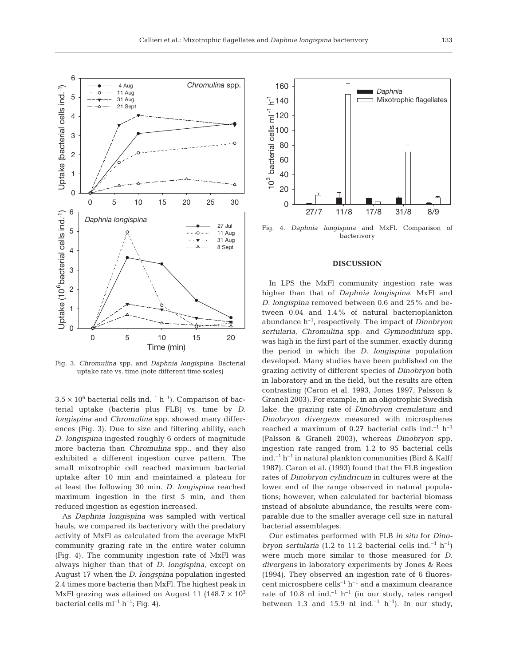

Fig. 3. *Chromulina* spp. and *Daphnia longispina*. Bacterial uptake rate vs. time (note different time scales)

 $3.5 \times 10^6$  bacterial cells ind.<sup>-1</sup> h<sup>-1</sup>). Comparison of bacterial uptake (bacteria plus FLB) vs. time by *D. longispina* and *Chromulina* spp. showed many differences (Fig. 3). Due to size and filtering ability, each *D. longispina* ingested roughly 6 orders of magnitude more bacteria than *Chromulina* spp., and they also exhibited a different ingestion curve pattern. The small mixotrophic cell reached maximum bacterial uptake after 10 min and maintained a plateau for at least the following 30 min. *D. longispina* reached maximum ingestion in the first 5 min, and then reduced ingestion as egestion increased.

As *Daphnia longispina* was sampled with vertical hauls, we compared its bacterivory with the predatory activity of MxFl as calculated from the average MxFl community grazing rate in the entire water column (Fig. 4). The community ingestion rate of MxFl was always higher than that of *D. longispina*, except on August 17 when the *D. longspina* population ingested 2.4 times more bacteria than MxFl. The highest peak in MxFl grazing was attained on August 11 (148.7  $\times$  10<sup>3</sup> bacterial cells  $ml^{-1} h^{-1}$ ; Fig. 4).



Fig. 4. *Daphnia longispina* and MxFl. Comparison of bacterivory

### **DISCUSSION**

In LPS the MxFl community ingestion rate was higher than that of *Daphnia longispina*. MxFl and *D. longispina* removed between 0.6 and 25% and between 0.04 and 1.4% of natural bacterioplankton abundance h–1, respectively. The impact of *Dinobryon sertularia*, *Chromulina* spp. and *Gymnodinium* spp. was high in the first part of the summer, exactly during the period in which the *D. longispina* population developed. Many studies have been published on the grazing activity of different species of *Dinobryon* both in laboratory and in the field, but the results are often contrasting (Caron et al. 1993, Jones 1997, Palsson & Graneli 2003). For example, in an oligotrophic Swedish lake, the grazing rate of *Dinobryon crenulatum* and *Dinobryon divergens* measured with microspheres reached a maximum of 0.27 bacterial cells ind.<sup>-1</sup> h<sup>-1</sup> (Palsson & Graneli 2003), whereas *Dinobryon* spp. ingestion rate ranged from 1.2 to 95 bacterial cells ind.<sup>-1</sup> h<sup>-1</sup> in natural plankton communities (Bird & Kalff 1987). Caron et al. (1993) found that the FLB ingestion rates of *Dinobryon cylindricum* in cultures were at the lower end of the range observed in natural populations; however, when calculated for bacterial biomass instead of absolute abundance, the results were comparable due to the smaller average cell size in natural bacterial assemblages.

Our estimates performed with FLB *in situ* for *Dinobryon sertularia* (1.2 to 11.2 bacterial cells ind.<sup>-1</sup> h<sup>-1</sup>) were much more similar to those measured for *D. divergens* in laboratory experiments by Jones & Rees (1994). They observed an ingestion rate of 6 fluorescent microsphere cells<sup>-1</sup>  $h^{-1}$  and a maximum clearance rate of 10.8 nl ind.<sup>-1</sup> h<sup>-1</sup> (in our study, rates ranged between 1.3 and 15.9 nl ind.<sup>-1</sup> h<sup>-1</sup>). In our study,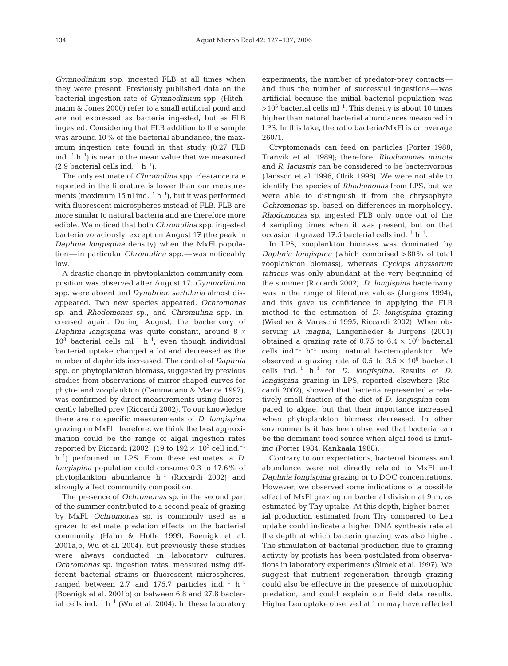*Gymnodinium* spp. ingested FLB at all times when they were present. Previously published data on the bacterial ingestion rate of *Gymnodinium* spp. (Hitchmann & Jones 2000) refer to a small artificial pond and are not expressed as bacteria ingested, but as FLB ingested. Considering that FLB addition to the sample was around 10% of the bacterial abundance, the maximum ingestion rate found in that study (0.27 FLB ind.<sup>-1</sup> h<sup>-1</sup>) is near to the mean value that we measured  $(2.9$  bacterial cells ind.<sup>-1</sup> h<sup>-1</sup>).

The only estimate of *Chromulina* spp. clearance rate reported in the literature is lower than our measurements (maximum 15 nl ind.<sup>-1</sup> h<sup>-1</sup>), but it was performed with fluorescent microspheres instead of FLB. FLB are more similar to natural bacteria and are therefore more edible. We noticed that both *Chromulina* spp. ingested bacteria voraciously, except on August 17 (the peak in *Daphnia longispina* density) when the MxFl population—in particular *Chromulina* spp.—was noticeably low.

A drastic change in phytoplankton community composition was observed after August 17. *Gymnodinium* spp. were absent and *Dynobrion sertularia* almost disappeared. Two new species appeared, *Ochromonas* sp. and *Rhodomonas* sp., and *Chromulina* spp. increased again. During August, the bacterivory of *Daphnia longispina* was quite constant, around 8 ×  $10^3$  bacterial cells ml<sup>-1</sup> h<sup>-1</sup>, even though individual bacterial uptake changed a lot and decreased as the number of daphnids increased. The control of *Daphnia* spp. on phytoplankton biomass, suggested by previous studies from observations of mirror-shaped curves for phyto- and zooplankton (Cammarano & Manca 1997), was confirmed by direct measurements using fluorescently labelled prey (Riccardi 2002). To our knowledge there are no specific measurements of *D. longispina* grazing on MxFl; therefore, we think the best approximation could be the range of algal ingestion rates reported by Riccardi (2002) (19 to  $192 \times 10^3$  cell ind.<sup>-1</sup> h–1) performed in LPS. From these estimates, a *D. longispina* population could consume 0.3 to 17.6% of phytoplankton abundance  $h^{-1}$  (Riccardi 2002) and strongly affect community composition.

The presence of *Ochromonas* sp. in the second part of the summer contributed to a second peak of grazing by MxFl. *Ochromonas* sp. is commonly used as a grazer to estimate predation effects on the bacterial community (Hahn & Hofle 1999, Boenigk et al. 2001a,b, Wu et al. 2004), but previously these studies were always conducted in laboratory cultures. *Ochromonas* sp. ingestion rates, measured using different bacterial strains or fluorescent microspheres, ranged between 2.7 and 175.7 particles ind.<sup>-1</sup> h<sup>-1</sup> (Boenigk et al. 2001b) or between 6.8 and 27.8 bacterial cells ind.<sup>-1</sup> h<sup>-1</sup> (Wu et al. 2004). In these laboratory

experiments, the number of predator-prey contacts and thus the number of successful ingestions—was artificial because the initial bacterial population was  $>10^6$  bacterial cells ml<sup>-1</sup>. This density is about 10 times higher than natural bacterial abundances measured in LPS. In this lake, the ratio bacteria/MxFl is on average 260/1.

Cryptomonads can feed on particles (Porter 1988, Tranvik et al. 1989); therefore, *Rhodomonas minuta* and *R. lacustris* can be considered to be bacterivorous (Jansson et al. 1996, Olrik 1998). We were not able to identify the species of *Rhodomonas* from LPS, but we were able to distinguish it from the chrysophyte *Ochromonas* sp. based on differences in morphology*. Rhodomonas* sp. ingested FLB only once out of the 4 sampling times when it was present, but on that occasion it grazed 17.5 bacterial cells ind. $^{-1}$  h<sup>-1</sup>.

In LPS, zooplankton biomass was dominated by *Daphnia longispina* (which comprised >80% of total zooplankton biomass), whereas *Cyclops abyssorum tatricus* was only abundant at the very beginning of the summer (Riccardi 2002). *D. longispina* bacterivory was in the range of literature values (Jurgens 1994), and this gave us confidence in applying the FLB method to the estimation of *D. longispina* grazing (Wiedner & Vareschi 1995, Riccardi 2002). When observing *D. magna,* Langenheder & Jurgens (2001) obtained a grazing rate of 0.75 to  $6.4 \times 10^6$  bacterial cells ind. $^{-1}$  h<sup>-1</sup> using natural bacterioplankton. We observed a grazing rate of 0.5 to  $3.5 \times 10^6$  bacterial cells ind. $^{-1}$  h<sup>-1</sup> for *D. longispina*. Results of *D. longispina* grazing in LPS, reported elsewhere (Riccardi 2002), showed that bacteria represented a relatively small fraction of the diet of *D. longispina* compared to algae, but that their importance increased when phytoplankton biomass decreased. In other environments it has been observed that bacteria can be the dominant food source when algal food is limiting (Porter 1984, Kankaala 1988).

Contrary to our expectations, bacterial biomass and abundance were not directly related to MxFl and *Daphnia longispina* grazing or to DOC concentrations. However, we observed some indications of a possible effect of MxFl grazing on bacterial division at 9 m, as estimated by Thy uptake. At this depth, higher bacterial production estimated from Thy compared to Leu uptake could indicate a higher DNA synthesis rate at the depth at which bacteria grazing was also higher. The stimulation of bacterial production due to grazing activity by protists has been postulated from observations in laboratory experiments (Simek et al. 1997). We suggest that nutrient regeneration through grazing could also be effective in the presence of mixotrophic predation, and could explain our field data results. Higher Leu uptake observed at 1 m may have reflected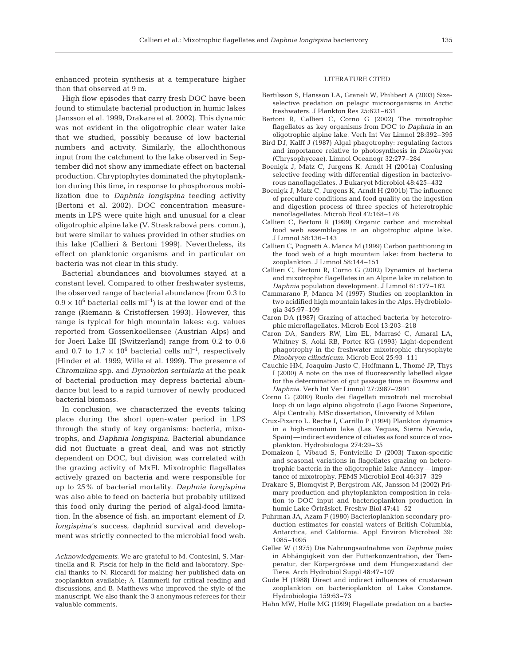enhanced protein synthesis at a temperature higher than that observed at 9 m.

High flow episodes that carry fresh DOC have been found to stimulate bacterial production in humic lakes (Jansson et al. 1999, Drakare et al. 2002). This dynamic was not evident in the oligotrophic clear water lake that we studied, possibly because of low bacterial numbers and activity. Similarly, the allochthonous input from the catchment to the lake observed in September did not show any immediate effect on bacterial production. Chryptophytes dominated the phytoplankton during this time, in response to phosphorous mobilization due to *Daphnia longispina* feeding activity (Bertoni et al. 2002). DOC concentration measurements in LPS were quite high and unusual for a clear oligotrophic alpine lake (V. Straskrabová pers. comm.), but were similar to values provided in other studies on this lake (Callieri & Bertoni 1999). Nevertheless, its effect on planktonic organisms and in particular on bacteria was not clear in this study.

Bacterial abundances and biovolumes stayed at a constant level. Compared to other freshwater systems, the observed range of bacterial abundance (from 0.3 to  $0.9 \times 10^6$  bacterial cells ml<sup>-1</sup>) is at the lower end of the range (Riemann & Cristoffersen 1993). However, this range is typical for high mountain lakes: e.g. values reported from Gossenkoellensee (Austrian Alps) and for Joeri Lake III (Switzerland) range from 0.2 to 0.6 and 0.7 to 1.7  $\times$  10<sup>6</sup> bacterial cells ml<sup>-1</sup>, respectively (Hinder et al. 1999, Wille et al. 1999). The presence of *Chromulina* spp. and *Dynobrion sertularia* at the peak of bacterial production may depress bacterial abundance but lead to a rapid turnover of newly produced bacterial biomass.

In conclusion, we characterized the events taking place during the short open-water period in LPS through the study of key organisms: bacteria, mixotrophs, and *Daphnia longispina*. Bacterial abundance did not fluctuate a great deal, and was not strictly dependent on DOC, but division was correlated with the grazing activity of MxFl. Mixotrophic flagellates actively grazed on bacteria and were responsible for up to 25% of bacterial mortality. *Daphnia longispina* was also able to feed on bacteria but probably utilized this food only during the period of algal-food limitation. In the absence of fish, an important element of *D. longispina*'s success, daphnid survival and development was strictly connected to the microbial food web.

*Acknowledgements.* We are grateful to M. Contesini, S. Martinella and R. Piscia for help in the field and laboratory. Special thanks to N. Riccardi for making her published data on zooplankton available; A. Hammerli for critical reading and discussions, and B. Matthews who improved the style of the manuscript. We also thank the 3 anonymous referees for their valuable comments.

#### LITERATURE CITED

- Bertilsson S, Hansson LA, Graneli W, Philibert A (2003) Sizeselective predation on pelagic microorganisms in Arctic freshwaters. J Plankton Res 25:621–631
- Bertoni R, Callieri C, Corno G (2002) The mixotrophic flagellates as key organisms from DOC to *Daphnia* in an oligotrophic alpine lake. Verh Int Ver Limnol 28:392–395
- Bird DJ, Kalff J (1987) Algal phagotrophy: regulating factors and importance relative to photosynthesis in *Dinobryon* (Chrysophyceae). Limnol Oceanogr 32:277–284
- Boenigk J, Matz C, Jurgens K, Arndt H (2001a) Confusing selective feeding with differential digestion in bacterivorous nanoflagellates. J Eukaryot Microbiol 48:425–432
- Boenigk J, Matz C, Jurgens K, Arndt H (2001b) The influence of preculture conditions and food quality on the ingestion and digestion process of three species of heterotrophic nanoflagellates. Microb Ecol 42:168–176
- Callieri C, Bertoni R (1999) Organic carbon and microbial food web assemblages in an oligotrophic alpine lake. J Limnol 58:136–143
- Callieri C, Pugnetti A, Manca M (1999) Carbon partitioning in the food web of a high mountain lake: from bacteria to zooplankton. J Limnol 58:144–151
- Callieri C, Bertoni R, Corno G (2002) Dynamics of bacteria and mixotrophic flagellates in an Alpine lake in relation to *Daphnia* population development. J Limnol 61:177–182
- Cammarano P, Manca M (1997) Studies on zooplankton in two acidified high mountain lakes in the Alps. Hydrobiologia 345:97–109
- Caron DA (1987) Grazing of attached bacteria by heterotrophic microflagellates. Microb Ecol 13:203–218
- Caron DA, Sanders RW, Lim EL, Marrasé C, Amaral LA, Whitney S, Aoki RB, Porter KG (1993) Light-dependent phagotrophy in the freshwater mixotrophic chrysophyte *Dinobryon cilindricum*. Microb Ecol 25:93–111
- Cauchie HM, Joaquim-Justo C, Hoffmann L, Thomé JP, Thys I (2000) A note on the use of fluorescently labelled algae for the determination of gut passage time in *Bosmina* and *Daphnia*. Verh Int Ver Limnol 27:2987–2991
- Corno G (2000) Ruolo dei flagellati mixotrofi nel microbial loop di un lago alpino oligotrofo (Lago Paione Superiore, Alpi Centrali). MSc dissertation, University of Milan
- Cruz-Pizarro L, Reche I, Carrillo P (1994) Plankton dynamics in a high-mountain lake (Las Yeguas, Sierra Nevada, Spain)—indirect evidence of ciliates as food source of zooplankton. Hydrobiologia 274:29–35
- Domaizon I, Vibaud S, Fontvieille D (2003) Taxon-specific and seasonal variations in flagellates grazing on heterotrophic bacteria in the oligotrophic lake Annecy—importance of mixotrophy. FEMS Microbiol Ecol 46:317–329
- Drakare S, Blomqvist P, Bergstrom AK, Jansson M (2002) Primary production and phytoplankton composition in relation to DOC input and bacterioplankton production in humic Lake Örträsket. Freshw Biol 47:41–52
- Fuhrman JA, Azam F (1980) Bacterioplankton secondary production estimates for coastal waters of British Columbia, Antarctica, and California. Appl Environ Microbiol 39: 1085–1095
- Geller W (1975) Die Nahrungsaufnahme von *Daphnia pulex* in Abhängigkeit von der Futterkonzentration, der Temperatur, der Körpergrösse und dem Hungerzustand der Tiere. Arch Hydrobiol Suppl 48:47–107
- Gude H (1988) Direct and indirect influences of crustacean zooplankton on bacterioplankton of Lake Constance. Hydrobiologia 159:63–73
- Hahn MW, Hofle MG (1999) Flagellate predation on a bacte-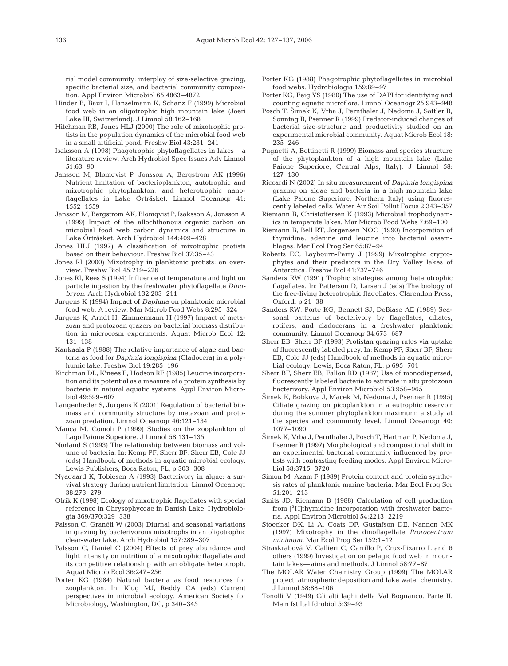rial model community: interplay of size-selective grazing, specific bacterial size, and bacterial community composition. Appl Environ Microbiol 65:4863–4872

- Hinder B, Baur I, Hanselmann K, Schanz F (1999) Microbial food web in an oligotrophic high mountain lake (Joeri Lake III, Switzerland). J Limnol 58:162–168
- Hitchman RB, Jones HLJ (2000) The role of mixotrophic protists in the population dynamics of the microbial food web in a small artificial pond. Freshw Biol 43:231–241
- Isaksson A (1998) Phagotrophic phytoflagellates in lakes—a literature review. Arch Hydrobiol Spec Issues Adv Limnol 51:63–90
- Jansson M, Blomqvist P, Jonsson A, Bergstrom AK (1996) Nutrient limitation of bacterioplankton, autotrophic and mixotrophic phytoplankton, and heterotrophic nanoflagellates in Lake Örträsket. Limnol Oceanogr 41: 1552–1559
- Jansson M, Bergstrom AK, Blomqvist P, Isaksson A, Jonsson A (1999) Impact of the allochthonous organic carbon on microbial food web carbon dynamics and structure in Lake Örträsket. Arch Hydrobiol 144:409–428
- Jones HLJ (1997) A classification of mixotrophic protists based on their behaviour. Freshw Biol 37:35–43
- Jones RI (2000) Mixotrophy in planktonic protists: an overview. Freshw Biol 45:219–226
- Jones RI, Rees S (1994) Influence of temperature and light on particle ingestion by the freshwater phytoflagellate *Dinobryon*. Arch Hydrobiol 132:203–211
- Jurgens K (1994) Impact of *Daphnia* on planktonic microbial food web. A review. Mar Microb Food Webs 8:295–324
- Jurgens K, Arndt H, Zimmermann H (1997) Impact of metazoan and protozoan grazers on bacterial biomass distribution in microcosm experiments. Aquat Microb Ecol 12: 131–138
- Kankaala P (1988) The relative importance of algae and bacteria as food for *Daphnia longispina* (Cladocera) in a polyhumic lake. Freshw Biol 19:285–196
- Kirchman DL, K'nees E, Hodson RE (1985) Leucine incorporation and its potential as a measure of a protein synthesis by bacteria in natural aquatic systems. Appl Environ Microbiol 49:599–607
- Langenheder S, Jurgens K (2001) Regulation of bacterial biomass and community structure by metazoan and protozoan predation. Limnol Oceanogr 46:121–134
- Manca M, Comoli P (1999) Studies on the zooplankton of Lago Paione Superiore. J Limnol 58:131–135
- Norland S (1993) The relationship between biomass and volume of bacteria. In: Kemp PF, Sherr BF, Sherr EB, Cole JJ (eds) Handbook of methods in aquatic microbial ecology. Lewis Publishers, Boca Raton, FL, p 303–308
- Nyagaard K, Tobiesen A (1993) Bacterivory in algae: a survival strategy during nutrient limitation. Limnol Oceanogr 38:273–279.
- Olrik K (1998) Ecology of mixotrophic flagellates with special reference in Chrysophyceae in Danish Lake. Hydrobiologia 369/370:329–338
- Palsson C, Granéli W (2003) Diurnal and seasonal variations in grazing by bacterivorous mixotrophs in an oligotrophic clear-water lake. Arch Hydrobiol 157:289–307
- Palsson C, Daniel C (2004) Effects of prey abundance and light intensity on nutrition of a mixotrophic flagellate and its competitive relationship with an obligate heterotroph. Aquat Microb Ecol 36:247–256
- Porter KG (1984) Natural bacteria as food resources for zooplankton. In: Klug MJ, Reddy CA (eds) Current perspectives in microbial ecology. American Society for Microbiology, Washington, DC, p 340–345
- Porter KG (1988) Phagotrophic phytoflagellates in microbial food webs. Hydrobiologia 159:89–97
- Porter KG, Feig YS (1980) The use of DAPI for identifying and counting aquatic microflora. Limnol Oceanogr 25:943–948
- Posch T, 2imek K, Vrba J, Pernthaler J, Nedoma J, Sattler B, Sonntag B, Psenner R (1999) Predator-induced changes of bacterial size-structure and productivity studied on an experimental microbial community. Aquat Microb Ecol 18: 235–246
- Pugnetti A, Bettinetti R (1999) Biomass and species structure of the phytoplankton of a high mountain lake (Lake Paione Superiore, Central Alps, Italy). J Limnol 58: 127–130
- Riccardi N (2002) In situ measurement of *Daphnia longispina* grazing on algae and bacteria in a high mountain lake (Lake Paione Superiore, Northern Italy) using fluorescently labeled cells. Water Air Soil Pollut Focus 2:343–357
- Riemann B, Christoffersen K (1993) Microbial trophodynamics in temperate lakes. Mar Microb Food Webs 7:69–100
- Riemann B, Bell RT, Jorgensen NOG (1990) Incorporation of thymidine, adenine and leucine into bacterial assemblages. Mar Ecol Prog Ser 65:87–94
- Roberts EC, Laybourn-Parry J (1999) Mixotrophic cryptophytes and their predators in the Dry Valley lakes of Antarctica. Freshw Biol 41:737–746
- Sanders RW (1991) Trophic strategies among heterotrophic flagellates. In: Patterson D, Larsen J (eds) The biology of the free-living heterotrophic flagellates. Clarendon Press, Oxford, p 21–38
- Sanders RW, Porte KG, Bennett SJ, DeBiase AE (1989) Seasonal patterns of bacterivory by flagellates, ciliates, rotifers, and cladocerans in a freshwater planktonic community. Limnol Oceanogr 34:673–687
- Sherr EB, Sherr BF (1993) Protistan grazing rates via uptake of fluorescently labeled prey. In: Kemp PF, Sherr BF, Sherr EB, Cole JJ (eds) Handbook of methods in aquatic microbial ecology. Lewis, Boca Raton, FL, p 695–701
- Sherr BF, Sherr EB, Fallon RD (1987) Use of monodispersed, fluorescently labeled bacteria to estimate in situ protozoan bacterivory. Appl Environ Microbiol 53:958–965
- 2imek K, Bobkova J, Macek M, Nedoma J, Psenner R (1995) Ciliate grazing on picoplankton in a eutrophic reservoir during the summer phytoplankton maximum: a study at the species and community level. Limnol Oceanogr 40: 1077–1090
- 2imek K, Vrba J, Pernthaler J, Posch T, Hartman P, Nedoma J, Psenner R (1997) Morphological and compositional shift in an experimental bacterial community influenced by protists with contrasting feeding modes. Appl Environ Microbiol 58:3715–3720
- Simon M, Azam F (1989) Protein content and protein synthesis rates of planktonic marine bacteria. Mar Ecol Prog Ser 51:201–213
- Smits JD, Riemann B (1988) Calculation of cell production from [<sup>3</sup>H]thymidine incorporation with freshwater bacteria. Appl Environ Microbiol 54:2213–2219
- Stoecker DK, Li A, Coats DF, Gustafson DE, Nannen MK (1997) Mixotrophy in the dinoflagellate *Prorocentrum minimum*. Mar Ecol Prog Ser 152:1–12
- Straskrabová V, Callieri C, Carrillo P, Cruz-Pizarro L and 6 others (1999) Investigation on pelagic food web in mountain lakes—aims and methods. J Limnol 58:77–87
- The MOLAR Water Chemistry Group (1999) The MOLAR project: atmospheric deposition and lake water chemistry. J Limnol 58:88–106
- Tonolli V (1949) Gli alti laghi della Val Bognanco. Parte II. Mem Ist Ital Idrobiol 5:39–93